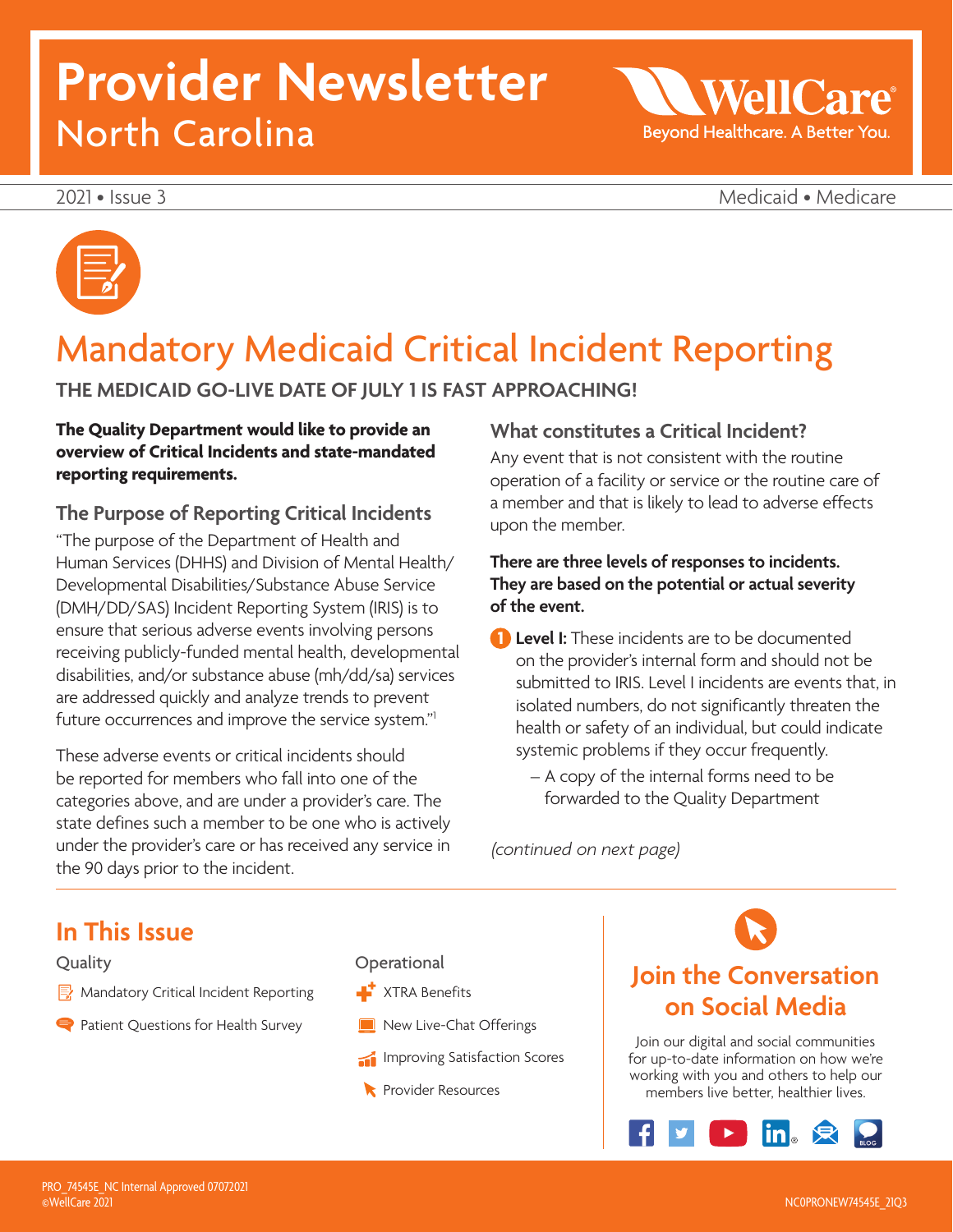# **Provider Newsletter**  North Carolina

WellC Beyond Healthcare. A Better You.

2021 • Issue 3 Medicaid • Medicare



### Mandatory Medicaid Critical Incident Reporting

### **THE MEDICAID GO-LIVE DATE OF JULY 1 IS FAST APPROACHING!**

#### **The Quality Department would like to provide an overview of Critical Incidents and state-mandated reporting requirements.**

#### **The Purpose of Reporting Critical Incidents**

"The purpose of the Department of Health and Human Services (DHHS) and Division of Mental Health/ Developmental Disabilities/Substance Abuse Service (DMH/DD/SAS) Incident Reporting System (IRIS) is to ensure that serious adverse events involving persons receiving publicly-funded mental health, developmental disabilities, and/or substance abuse (mh/dd/sa) services are addressed quickly and analyze trends to prevent future occurrences and improve the service system."<sup>1</sup>

These adverse events or critical incidents should be reported for members who fall into one of the categories above, and are under a provider's care. The state defines such a member to be one who is actively under the provider's care or has received any service in the 90 days prior to the incident.

### **What constitutes a Critical Incident?**

Any event that is not consistent with the routine operation of a facility or service or the routine care of a member and that is likely to lead to adverse effects upon the member.

#### **There are three levels of responses to incidents. They are based on the potential or actual severity of the event.**

**1 Level I:** These incidents are to be documented on the provider's internal form and should not be submitted to IRIS. Level I incidents are events that, in isolated numbers, do not significantly threaten the health or safety of an individual, but could indicate systemic problems if they occur frequently.

– A copy of the internal forms need to be forwarded to the Quality Department

*(continued on next page)* 

### **In This Issue**

#### **Quality**

- Mandatory Critical Incident Reporting
- Patient Questions for Health Survey

#### **Operational**

- $\blacktriangleright$  XTRA Benefits
- New Live-Chat Offerings
- Improving Satisfaction Scores
- **Resources**

### **Join the Conversation on Social Media**

Join our digital and social communities for up-to-date information on how we're working with you and others to help our members live better, healthier lives.

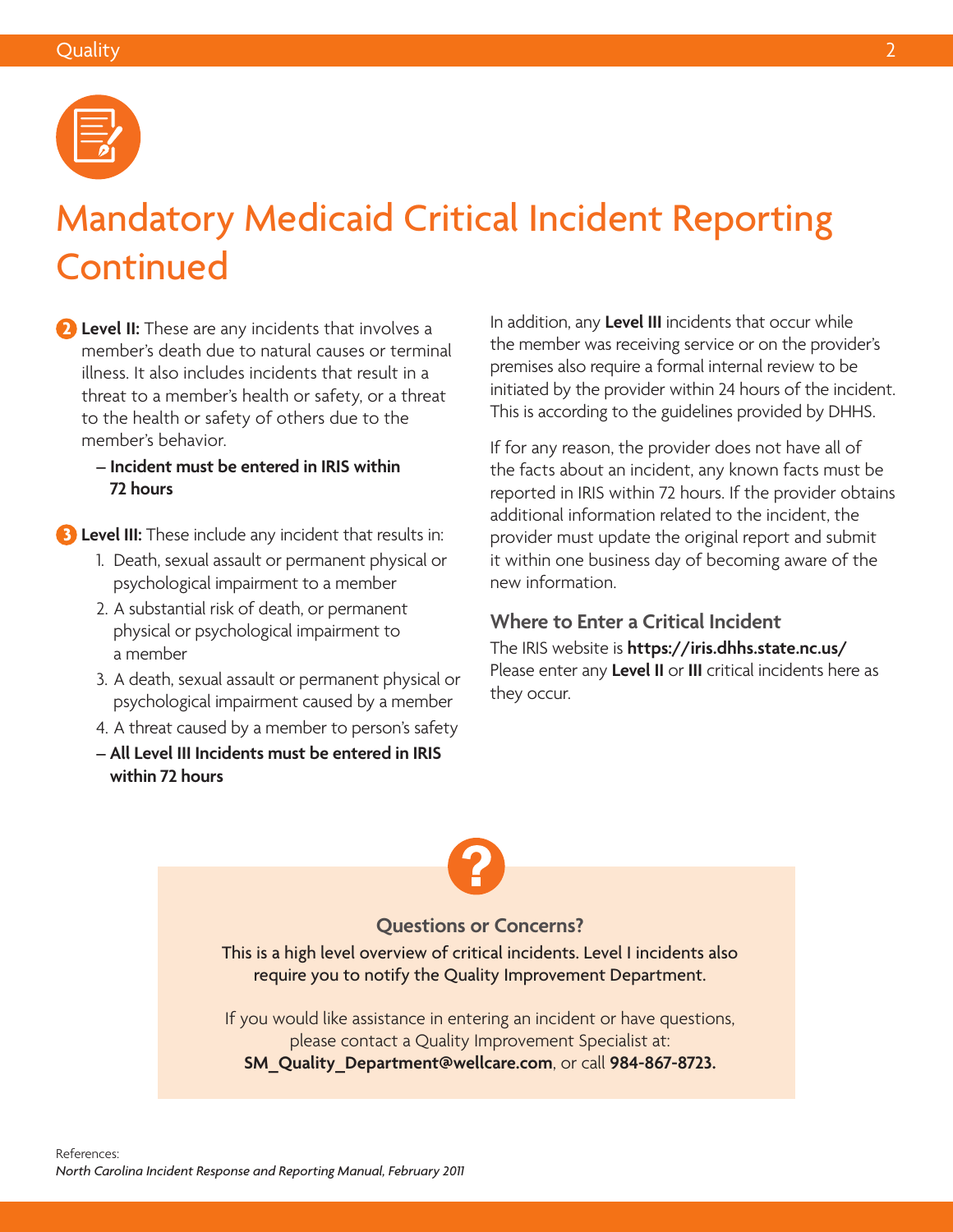

# Mandatory Medicaid Critical Incident Reporting Continued

 **2 Level II:** These are any incidents that involves a member's death due to natural causes or terminal illness. It also includes incidents that result in a threat to a member's health or safety, or a threat to the health or safety of others due to the member's behavior.

**– Incident must be entered in IRIS within 72 hours** 

**3 Level III:** These include any incident that results in:

- 1. Death, sexual assault or permanent physical or psychological impairment to a member
- 2. A substantial risk of death, or permanent physical or psychological impairment to a member
- 3. A death, sexual assault or permanent physical or psychological impairment caused by a member
- 4. A threat caused by a member to person's safety
- **All Level III Incidents must be entered in IRIS within 72 hours**

In addition, any **Level III** incidents that occur while the member was receiving service or on the provider's premises also require a formal internal review to be initiated by the provider within 24 hours of the incident. This is according to the guidelines provided by DHHS.

If for any reason, the provider does not have all of the facts about an incident, any known facts must be reported in IRIS within 72 hours. If the provider obtains additional information related to the incident, the provider must update the original report and submit it within one business day of becoming aware of the new information.

#### **Where to Enter a Critical Incident**

The IRIS website is **<https://iris.dhhs.state.nc.us/>** Please enter any **Level II** or **III** critical incidents here as they occur.

#### **Questions or Concerns?**

This is a high level overview of critical incidents. Level I incidents also require you to notify the Quality Improvement Department.

If you would like assistance in entering an incident or have questions, please contact a Quality Improvement Specialist at: **[SM\\_Quality\\_Department@wellcare.com](mailto:SM_Quality_Department@wellcare.com)**, or call **984-867-8723.**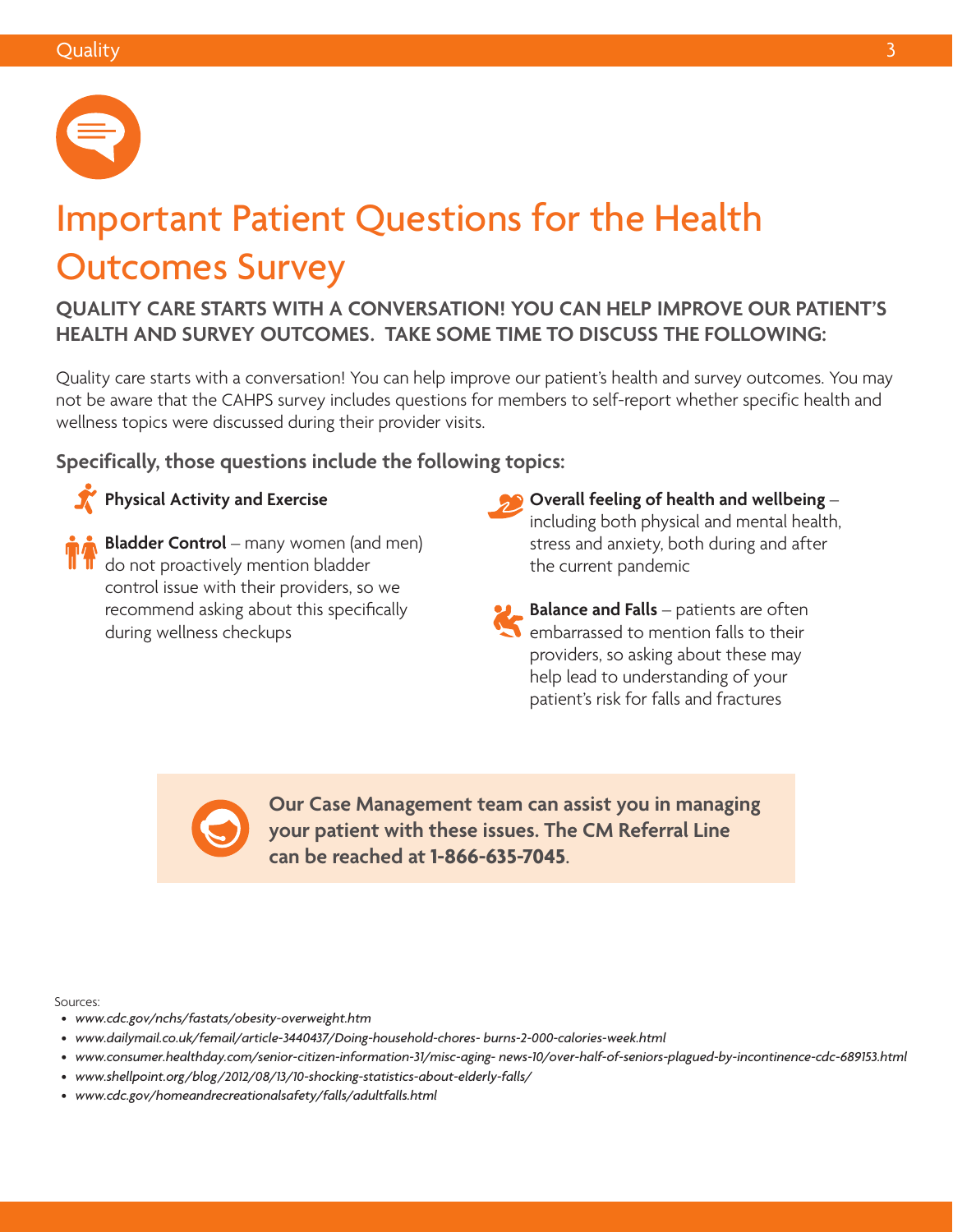

# Important Patient Questions for the Health Outcomes Survey

**QUALITY CARE STARTS WITH A CONVERSATION! YOU CAN HELP IMPROVE OUR PATIENT'S HEALTH AND SURVEY OUTCOMES. TAKE SOME TIME TO DISCUSS THE FOLLOWING:** 

Quality care starts with a conversation! You can help improve our patient's health and survey outcomes. You may not be aware that the CAHPS survey includes questions for members to self-report whether specific health and wellness topics were discussed during their provider visits.

**Specifically, those questions include the following topics:** 

### **Physical Activity and Exercise**

**Bladder Control** – many women (and men) do not proactively mention bladder control issue with their providers, so we recommend asking about this specifically during wellness checkups

- **Overall feeling of health and wellbeing** including both physical and mental health, stress and anxiety, both during and after the current pandemic
- **Balance and Falls** patients are often embarrassed to mention falls to their providers, so asking about these may help lead to understanding of your patient's risk for falls and fractures

**Our Case Management team can assist you in managing your patient with these issues. The CM Referral Line can be reached at 1-866-635-7045**.

Sources:

- *[www.cdc.gov/nchs/fastats/obesity-overweight.htm](http://www.cdc.gov/nchs/fastats/obesity-overweight.htm)*
- *[www.dailymail.co.uk/femail/article-3440437/Doing-household-chores- burns-2-000-calories-week.html](http://www.dailymail.co.uk/femail/article-3440437/Doing-household-chores- burns-2-000-calories-week.html)*
- [www.consumer.healthday.com/senior-citizen-information-31/misc-aging- news-10/over-half-of-seniors-plagued-by-incontinence-cdc-689153.html](http://www.consumer.healthday.com/senior-citizen-information-31/misc-aging- news-10/over-half-of-seniors-pl)<br>• www.shellpoint.org/blog/2012/08/13/10-shocking-statistics-about-elderly-falls/<br>•
- www.shellpoint.org/blog/2012/08/13/10-shocking-statistics-about-elderly-falls/
-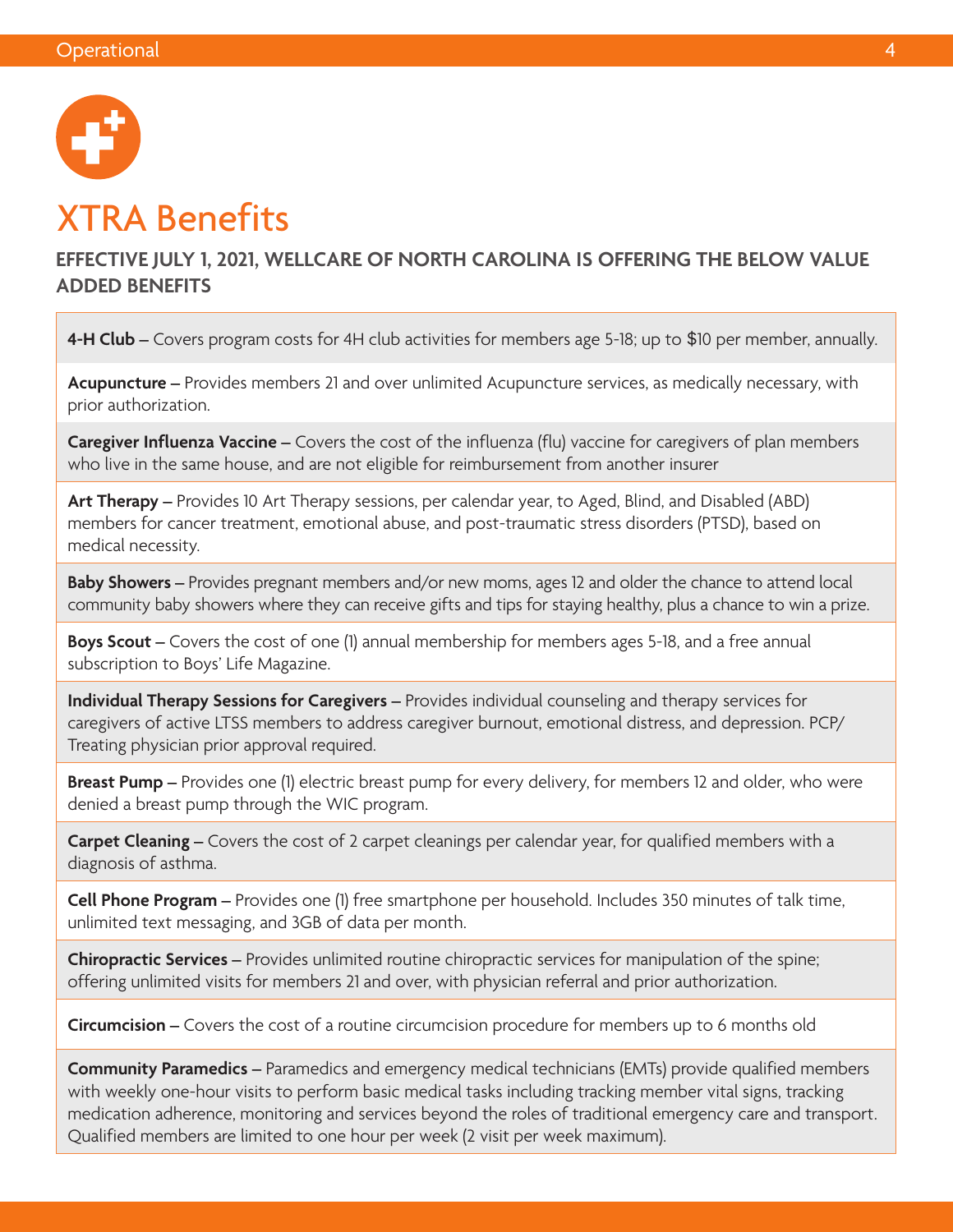

### XTRA Benefits

**EFFECTIVE JULY 1, 2021, WELLCARE OF NORTH CAROLINA IS OFFERING THE BELOW VALUE ADDED BENEFITS** 

**4-H Club –** Covers program costs for 4H club activities for members age 5-18; up to \$10 per member, annually.

**Acupuncture –** Provides members 21 and over unlimited Acupuncture services, as medically necessary, with prior authorization.

**Caregiver Influenza Vaccine –** Covers the cost of the influenza (flu) vaccine for caregivers of plan members who live in the same house, and are not eligible for reimbursement from another insurer

**Art Therapy –** Provides 10 Art Therapy sessions, per calendar year, to Aged, Blind, and Disabled (ABD) members for cancer treatment, emotional abuse, and post-traumatic stress disorders (PTSD), based on medical necessity.

**Baby Showers –** Provides pregnant members and/or new moms, ages 12 and older the chance to attend local community baby showers where they can receive gifts and tips for staying healthy, plus a chance to win a prize.

**Boys Scout –** Covers the cost of one (1) annual membership for members ages 5-18, and a free annual subscription to Boys' Life Magazine.

**Individual Therapy Sessions for Caregivers –** Provides individual counseling and therapy services for caregivers of active LTSS members to address caregiver burnout, emotional distress, and depression. PCP/ Treating physician prior approval required.

**Breast Pump –** Provides one (1) electric breast pump for every delivery, for members 12 and older, who were denied a breast pump through the WIC program.

**Carpet Cleaning –** Covers the cost of 2 carpet cleanings per calendar year, for qualified members with a diagnosis of asthma.

**Cell Phone Program –** Provides one (1) free smartphone per household. Includes 350 minutes of talk time, unlimited text messaging, and 3GB of data per month.

**Chiropractic Services –** Provides unlimited routine chiropractic services for manipulation of the spine; offering unlimited visits for members 21 and over, with physician referral and prior authorization.

**Circumcision –** Covers the cost of a routine circumcision procedure for members up to 6 months old

**Community Paramedics –** Paramedics and emergency medical technicians (EMTs) provide qualified members with weekly one-hour visits to perform basic medical tasks including tracking member vital signs, tracking medication adherence, monitoring and services beyond the roles of traditional emergency care and transport. Qualified members are limited to one hour per week (2 visit per week maximum).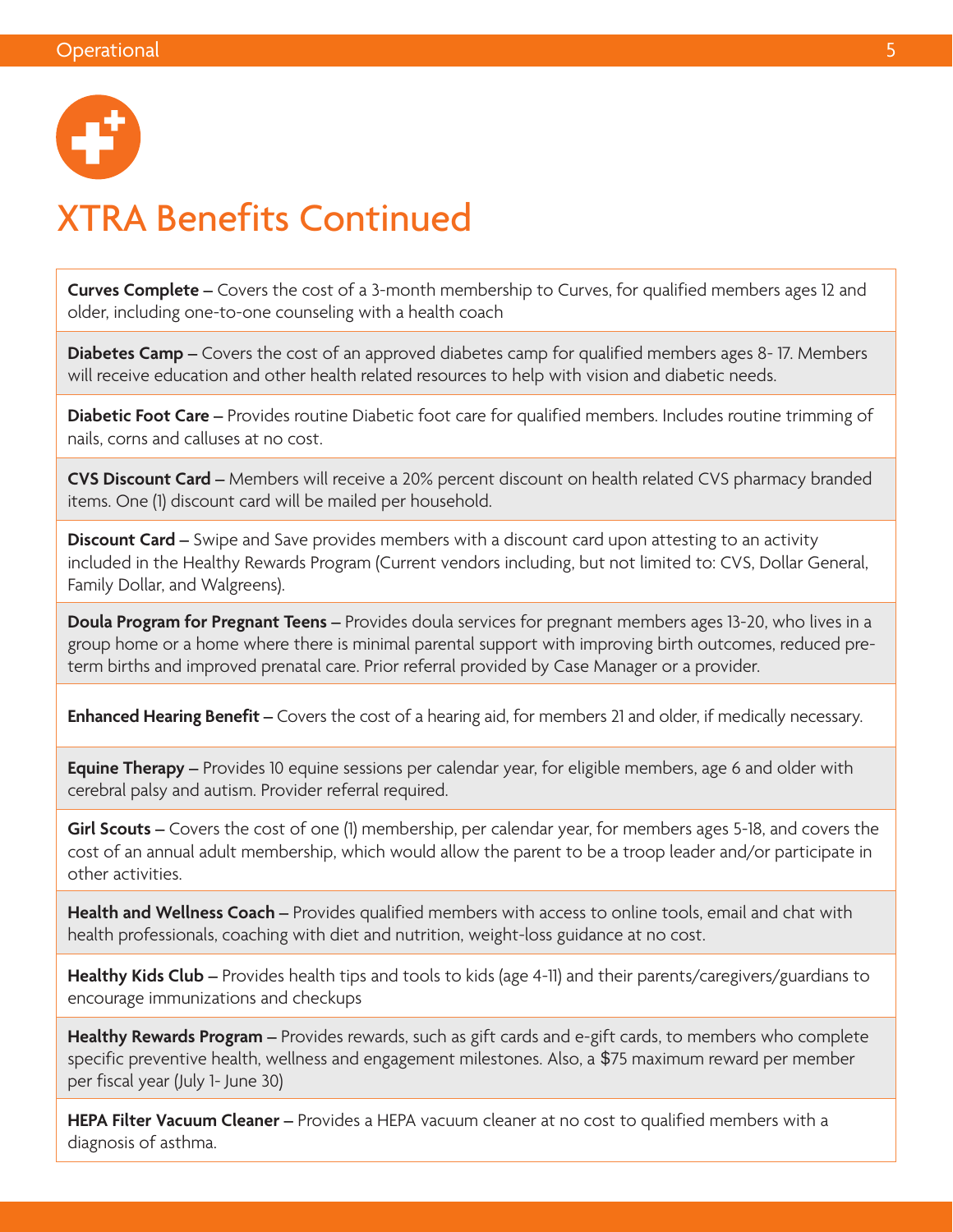

### XTRA Benefits Continued

**Curves Complete –** Covers the cost of a 3-month membership to Curves, for qualified members ages 12 and older, including one-to-one counseling with a health coach

**Diabetes Camp –** Covers the cost of an approved diabetes camp for qualified members ages 8- 17. Members will receive education and other health related resources to help with vision and diabetic needs.

**Diabetic Foot Care –** Provides routine Diabetic foot care for qualified members. Includes routine trimming of nails, corns and calluses at no cost.

**CVS Discount Card –** Members will receive a 20% percent discount on health related CVS pharmacy branded items. One (1) discount card will be mailed per household.

**Discount Card –** Swipe and Save provides members with a discount card upon attesting to an activity included in the Healthy Rewards Program (Current vendors including, but not limited to: CVS, Dollar General, Family Dollar, and Walgreens).

**Doula Program for Pregnant Teens –** Provides doula services for pregnant members ages 13-20, who lives in a group home or a home where there is minimal parental support with improving birth outcomes, reduced preterm births and improved prenatal care. Prior referral provided by Case Manager or a provider.

**Enhanced Hearing Benefit –** Covers the cost of a hearing aid, for members 21 and older, if medically necessary.

**Equine Therapy –** Provides 10 equine sessions per calendar year, for eligible members, age 6 and older with cerebral palsy and autism. Provider referral required.

**Girl Scouts –** Covers the cost of one (1) membership, per calendar year, for members ages 5-18, and covers the cost of an annual adult membership, which would allow the parent to be a troop leader and/or participate in other activities.

**Health and Wellness Coach –** Provides qualified members with access to online tools, email and chat with health professionals, coaching with diet and nutrition, weight-loss guidance at no cost.

**Healthy Kids Club –** Provides health tips and tools to kids (age 4-11) and their parents/caregivers/guardians to encourage immunizations and checkups

**Healthy Rewards Program –** Provides rewards, such as gift cards and e-gift cards, to members who complete specific preventive health, wellness and engagement milestones. Also, a \$75 maximum reward per member per fiscal year (July 1- June 30)

**HEPA Filter Vacuum Cleaner** – Provides a HEPA vacuum cleaner at no cost to qualified members with a diagnosis of asthma.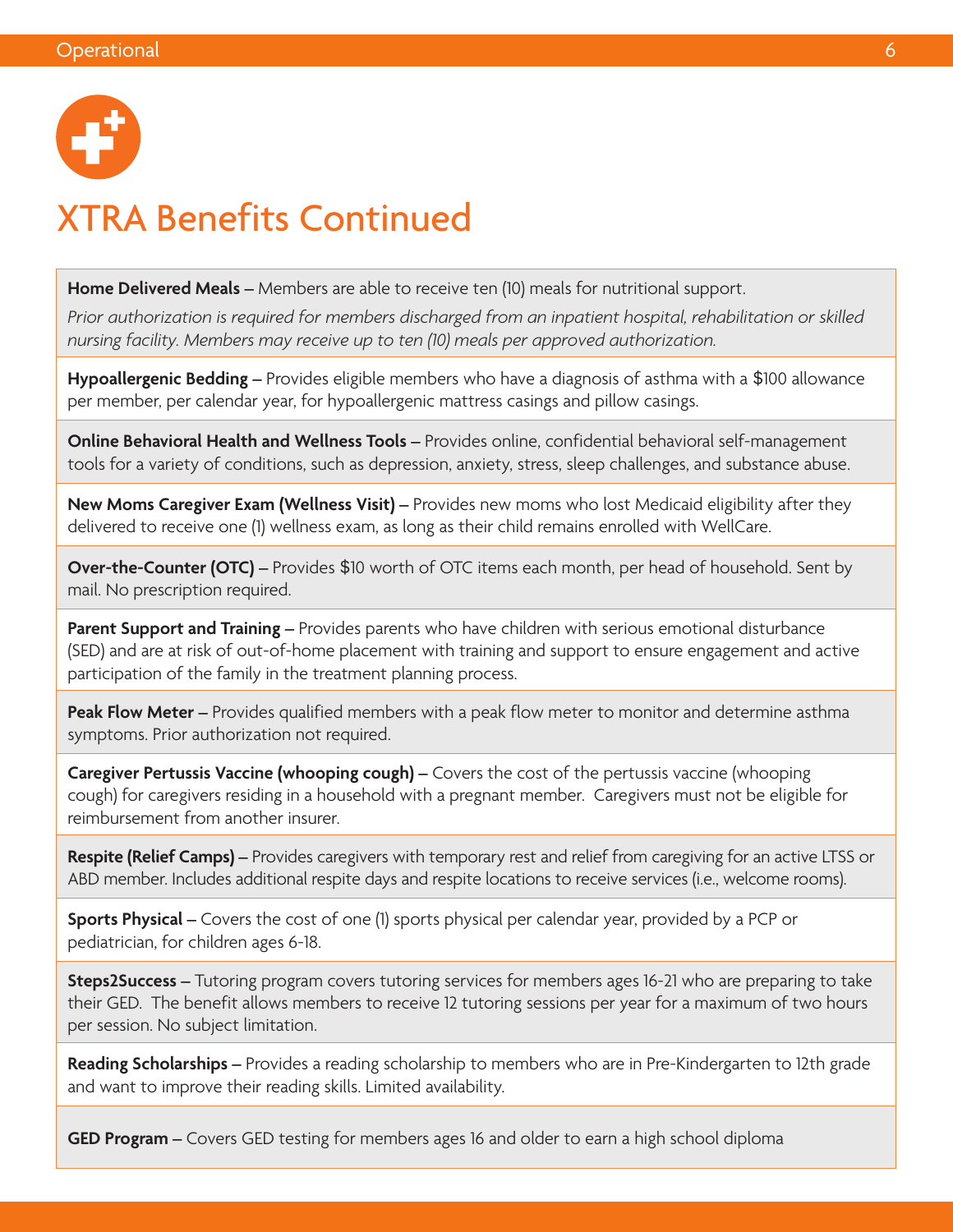

### XTRA Benefits Continued

**Home Delivered Meals –** Members are able to receive ten (10) meals for nutritional support.

*Prior authorization is required for members discharged from an inpatient hospital, rehabilitation or skilled nursing facility. Members may receive up to ten (10) meals per approved authorization.* 

**Hypoallergenic Bedding –** Provides eligible members who have a diagnosis of asthma with a \$100 allowance per member, per calendar year, for hypoallergenic mattress casings and pillow casings.

**Online Behavioral Health and Wellness Tools –** Provides online, confidential behavioral self-management tools for a variety of conditions, such as depression, anxiety, stress, sleep challenges, and substance abuse.

**New Moms Caregiver Exam (Wellness Visit) –** Provides new moms who lost Medicaid eligibility after they delivered to receive one (1) wellness exam, as long as their child remains enrolled with WellCare.

**Over-the-Counter (OTC) –** Provides \$10 worth of OTC items each month, per head of household. Sent by mail. No prescription required.

**Parent Support and Training –** Provides parents who have children with serious emotional disturbance (SED) and are at risk of out-of-home placement with training and support to ensure engagement and active participation of the family in the treatment planning process.

**Peak Flow Meter –** Provides qualified members with a peak flow meter to monitor and determine asthma symptoms. Prior authorization not required.

**Caregiver Pertussis Vaccine (whooping cough) –** Covers the cost of the pertussis vaccine (whooping cough) for caregivers residing in a household with a pregnant member. Caregivers must not be eligible for reimbursement from another insurer.

**Respite (Relief Camps) –** Provides caregivers with temporary rest and relief from caregiving for an active LTSS or ABD member. Includes additional respite days and respite locations to receive services (i.e., welcome rooms).

**Sports Physical –** Covers the cost of one (1) sports physical per calendar year, provided by a PCP or pediatrician, for children ages 6-18.

**Steps2Success –** Tutoring program covers tutoring services for members ages 16-21 who are preparing to take their GED. The benefit allows members to receive 12 tutoring sessions per year for a maximum of two hours per session. No subject limitation.

**Reading Scholarships –** Provides a reading scholarship to members who are in Pre-Kindergarten to 12th grade and want to improve their reading skills. Limited availability.

**GED Program –** Covers GED testing for members ages 16 and older to earn a high school diploma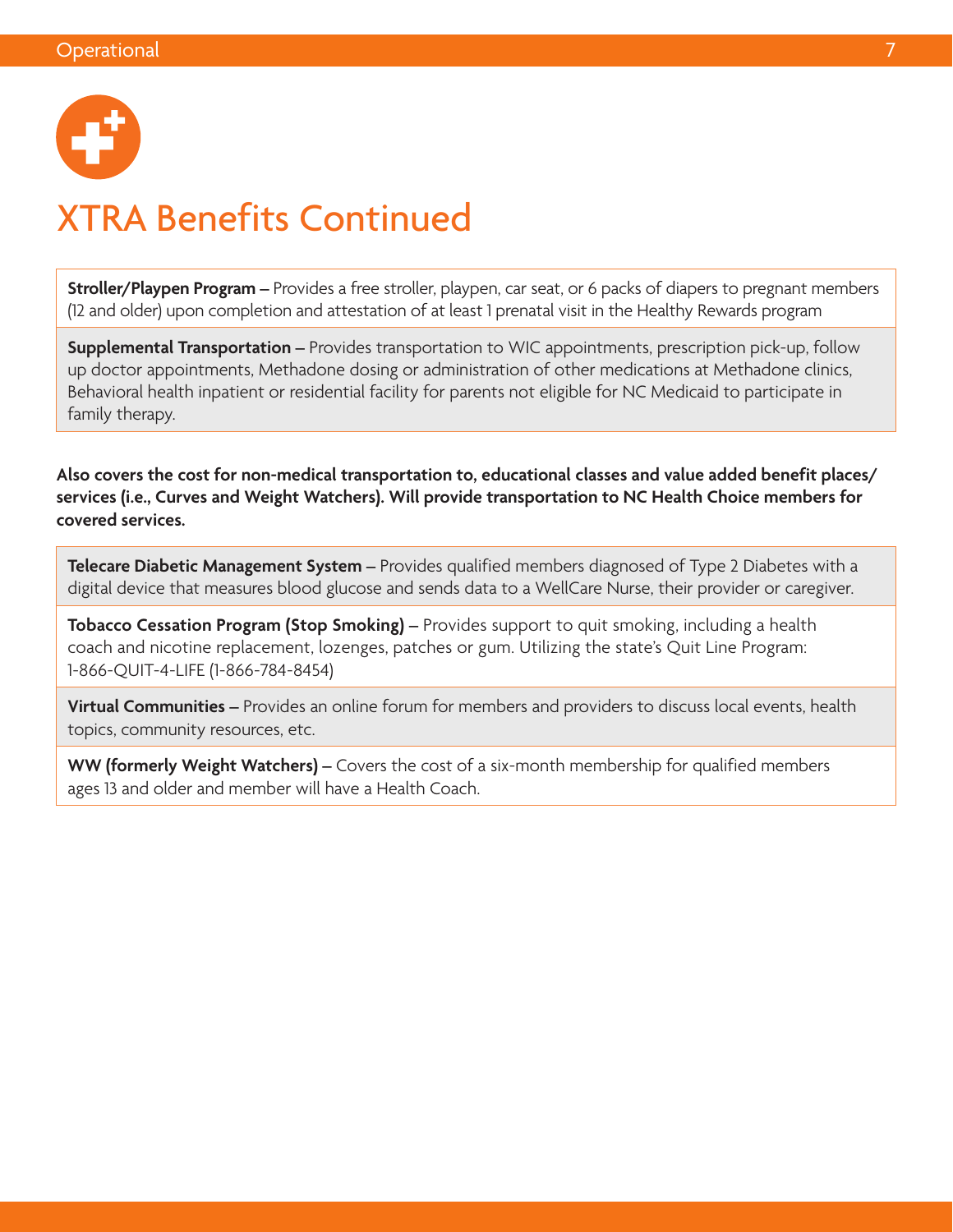

### XTRA Benefits Continued

**Stroller/Playpen Program –** Provides a free stroller, playpen, car seat, or 6 packs of diapers to pregnant members (12 and older) upon completion and attestation of at least 1 prenatal visit in the Healthy Rewards program

**Supplemental Transportation –** Provides transportation to WIC appointments, prescription pick-up, follow up doctor appointments, Methadone dosing or administration of other medications at Methadone clinics, Behavioral health inpatient or residential facility for parents not eligible for NC Medicaid to participate in family therapy.

**Also covers the cost for non-medical transportation to, educational classes and value added benefit places/ services (i.e., Curves and Weight Watchers). Will provide transportation to NC Health Choice members for covered services.** 

**Telecare Diabetic Management System –** Provides qualified members diagnosed of Type 2 Diabetes with a digital device that measures blood glucose and sends data to a WellCare Nurse, their provider or caregiver.

**Tobacco Cessation Program (Stop Smoking) –** Provides support to quit smoking, including a health coach and nicotine replacement, lozenges, patches or gum. Utilizing the state's Quit Line Program: 1-866-QUIT-4-LIFE (1-866-784-8454)

**Virtual Communities –** Provides an online forum for members and providers to discuss local events, health topics, community resources, etc.

**WW (formerly Weight Watchers) –** Covers the cost of a six-month membership for qualified members ages 13 and older and member will have a Health Coach.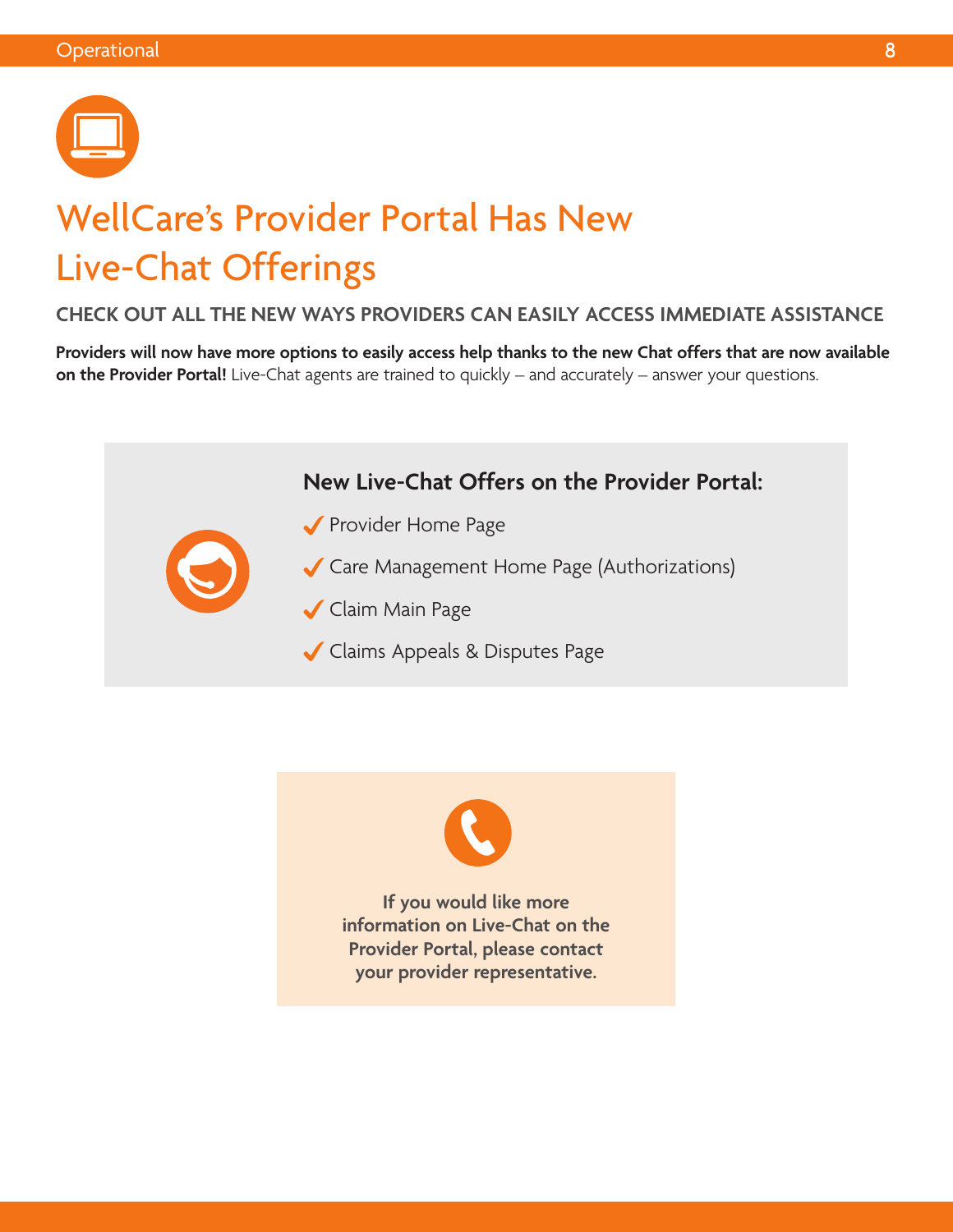

# WellCare's Provider Portal Has New Live-Chat Offerings

#### **CHECK OUT ALL THE NEW WAYS PROVIDERS CAN EASILY ACCESS IMMEDIATE ASSISTANCE**

**Providers will now have more options to easily access help thanks to the new Chat offers that are now available on the Provider Portal!** Live-Chat agents are trained to quickly – and accurately – answer your questions.





**If you would like more information on Live-Chat on the Provider Portal, please contact your provider representative.**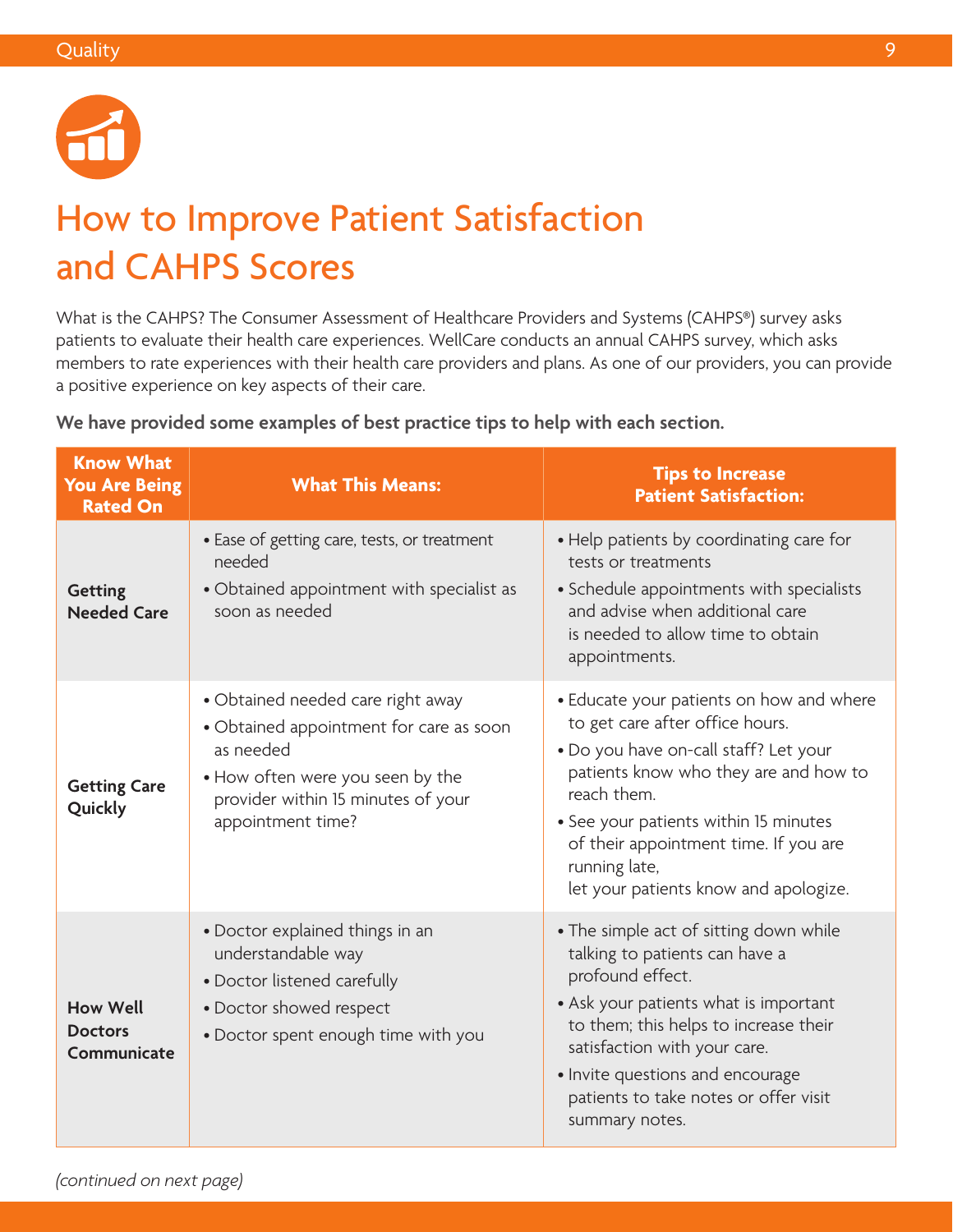

# How to Improve Patient Satisfaction and CAHPS Scores

What is the CAHPS? The Consumer Assessment of Healthcare Providers and Systems (CAHPS®) survey asks patients to evaluate their health care experiences. WellCare conducts an annual CAHPS survey, which asks members to rate experiences with their health care providers and plans. As one of our providers, you can provide a positive experience on key aspects of their care.

| <b>Know What</b><br><b>You Are Being</b><br><b>Rated On</b> | <b>What This Means:</b>                                                                                                                                                                  | <b>Tips to Increase</b><br><b>Patient Satisfaction:</b>                                                                                                                                                                                                                                                                  |
|-------------------------------------------------------------|------------------------------------------------------------------------------------------------------------------------------------------------------------------------------------------|--------------------------------------------------------------------------------------------------------------------------------------------------------------------------------------------------------------------------------------------------------------------------------------------------------------------------|
| <b>Getting</b><br><b>Needed Care</b>                        | • Ease of getting care, tests, or treatment<br>needed<br>• Obtained appointment with specialist as<br>soon as needed                                                                     | • Help patients by coordinating care for<br>tests or treatments<br>• Schedule appointments with specialists<br>and advise when additional care<br>is needed to allow time to obtain<br>appointments.                                                                                                                     |
| <b>Getting Care</b><br>Quickly                              | • Obtained needed care right away<br>• Obtained appointment for care as soon<br>as needed<br>• How often were you seen by the<br>provider within 15 minutes of your<br>appointment time? | • Educate your patients on how and where<br>to get care after office hours.<br>. Do you have on-call staff? Let your<br>patients know who they are and how to<br>reach them.<br>• See your patients within 15 minutes<br>of their appointment time. If you are<br>running late,<br>let your patients know and apologize. |
| <b>How Well</b><br><b>Doctors</b><br>Communicate            | • Doctor explained things in an<br>understandable way<br>• Doctor listened carefully<br>• Doctor showed respect<br>• Doctor spent enough time with you                                   | • The simple act of sitting down while<br>talking to patients can have a<br>profound effect.<br>• Ask your patients what is important<br>to them; this helps to increase their<br>satisfaction with your care.<br>• Invite questions and encourage<br>patients to take notes or offer visit<br>summary notes.            |

**We have provided some examples of best practice tips to help with each section.**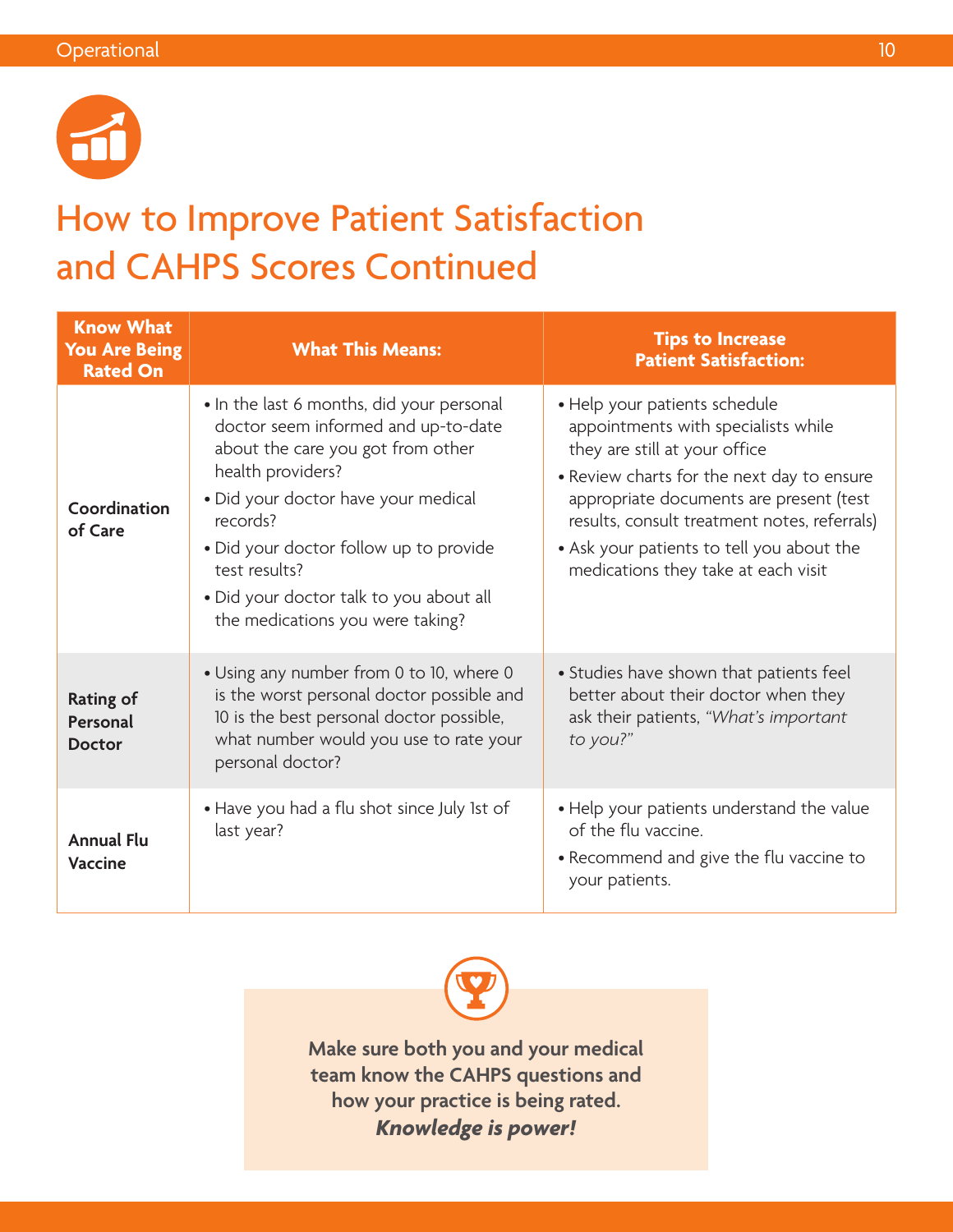

### How to Improve Patient Satisfaction and CAHPS Scores Continued

| <b>Know What</b><br><b>You Are Being</b><br><b>Rated On</b> | <b>What This Means:</b>                                                                                                                                                                                                                                                                                                                 | <b>Tips to Increase</b><br><b>Patient Satisfaction:</b>                                                                                                                                                                                                                                                                            |
|-------------------------------------------------------------|-----------------------------------------------------------------------------------------------------------------------------------------------------------------------------------------------------------------------------------------------------------------------------------------------------------------------------------------|------------------------------------------------------------------------------------------------------------------------------------------------------------------------------------------------------------------------------------------------------------------------------------------------------------------------------------|
| Coordination<br>of Care                                     | • In the last 6 months, did your personal<br>doctor seem informed and up-to-date<br>about the care you got from other<br>health providers?<br>· Did your doctor have your medical<br>records?<br>• Did your doctor follow up to provide<br>test results?<br>• Did your doctor talk to you about all<br>the medications you were taking? | • Help your patients schedule<br>appointments with specialists while<br>they are still at your office<br>• Review charts for the next day to ensure<br>appropriate documents are present (test<br>results, consult treatment notes, referrals)<br>• Ask your patients to tell you about the<br>medications they take at each visit |
| <b>Rating of</b><br>Personal<br><b>Doctor</b>               | • Using any number from 0 to 10, where 0<br>is the worst personal doctor possible and<br>10 is the best personal doctor possible,<br>what number would you use to rate your<br>personal doctor?                                                                                                                                         | • Studies have shown that patients feel<br>better about their doctor when they<br>ask their patients, "What's important<br>to you?"                                                                                                                                                                                                |
| <b>Annual Flu</b><br><b>Vaccine</b>                         | • Have you had a flu shot since July 1st of<br>last year?                                                                                                                                                                                                                                                                               | • Help your patients understand the value<br>of the flu vaccine.<br>• Recommend and give the flu vaccine to<br>your patients.                                                                                                                                                                                                      |



**Make sure both you and your medical team know the CAHPS questions and how your practice is being rated.**  *Knowledge is power!*